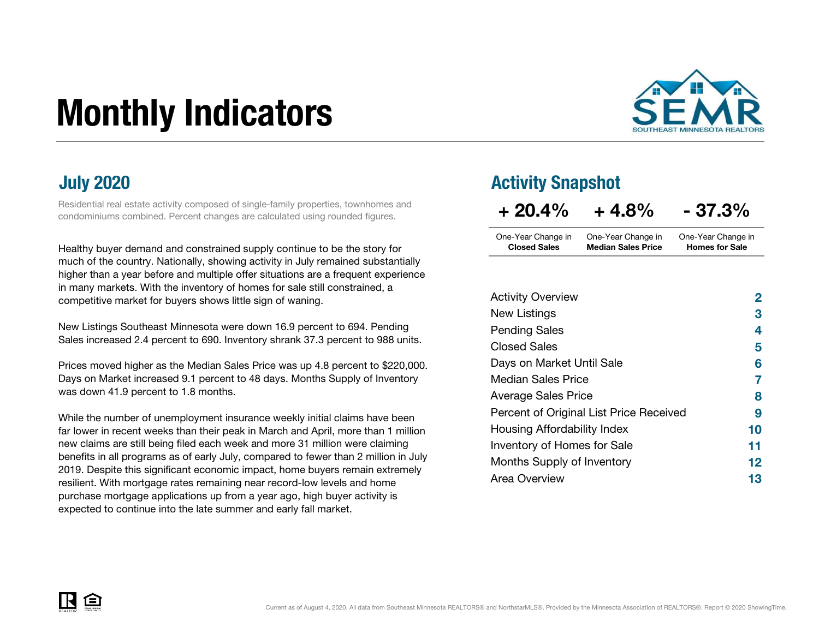# Monthly Indicators



Residential real estate activity composed of single-family properties, townhomes and condominiums combined. Percent changes are calculated using rounded figures.

Healthy buyer demand and constrained supply continue to be the story for much of the country. Nationally, showing activity in July remained substantially higher than a year before and multiple offer situations are a frequent experience in many markets. With the inventory of homes for sale still constrained, a competitive market for buyers shows little sign of waning.

New Listings Southeast Minnesota were down 16.9 percent to 694. Pending Sales increased 2.4 percent to 690. Inventory shrank 37.3 percent to 988 units.

Prices moved higher as the Median Sales Price was up 4.8 percent to \$220,000. Days on Market increased 9.1 percent to 48 days. Months Supply of Inventory was down 41.9 percent to 1.8 months.

While the number of unemployment insurance weekly initial claims have been far lower in recent weeks than their peak in March and April, more than 1 million new claims are still being filed each week and more 31 million were claiming benefits in all programs as of early July, compared to fewer than 2 million in July 2019. Despite this significant economic impact, home buyers remain extremely resilient. With mortgage rates remaining near record-low levels and home purchase mortgage applications up from a year ago, high buyer activity is expected to continue into the late summer and early fall market.

### July 2020 Activity Snapshot

| $+20.4\%$           | $+4.8%$                   | $-37.3%$              |
|---------------------|---------------------------|-----------------------|
| One-Year Change in  | One-Year Change in        | One-Year Change in    |
| <b>Closed Sales</b> | <b>Median Sales Price</b> | <b>Homes for Sale</b> |

| <b>Activity Overview</b>                | $\mathbf{2}$ |
|-----------------------------------------|--------------|
| New Listings                            | 3            |
| <b>Pending Sales</b>                    | 4            |
| <b>Closed Sales</b>                     | 5            |
| Days on Market Until Sale               | 6            |
| <b>Median Sales Price</b>               | 7            |
| <b>Average Sales Price</b>              | 8            |
| Percent of Original List Price Received | 9            |
| Housing Affordability Index             | 10           |
| Inventory of Homes for Sale             | 11           |
| Months Supply of Inventory              | 12           |
| Area Overview                           | 13           |

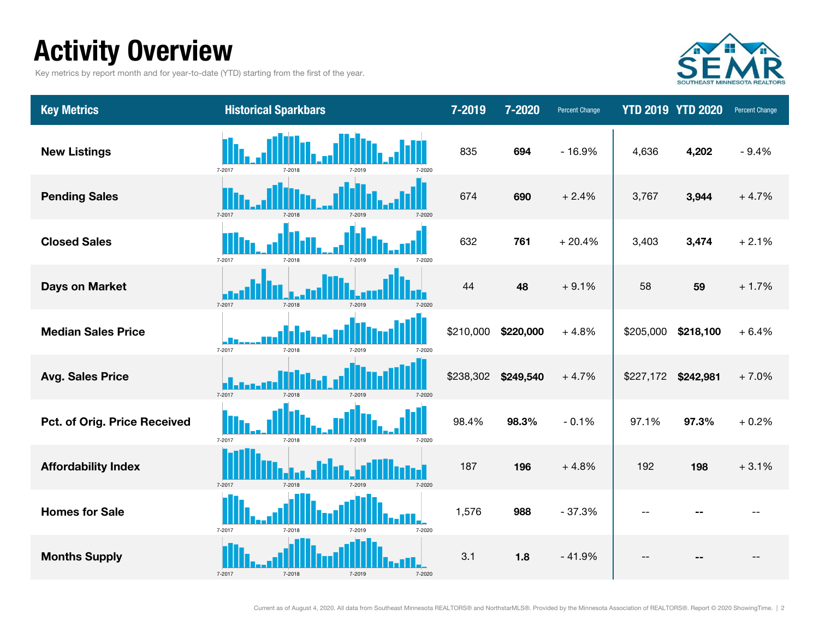### Activity Overview

Key metrics by report month and for year-to-date (YTD) starting from the first of the year.



| <b>Key Metrics</b>           | <b>Historical Sparkbars</b>          | 7-2019    | 7-2020    | <b>Percent Change</b> |           | <b>YTD 2019 YTD 2020</b> | Percent Change |
|------------------------------|--------------------------------------|-----------|-----------|-----------------------|-----------|--------------------------|----------------|
| <b>New Listings</b>          | 7-2017<br>7-2018<br>7-2020<br>7-2019 | 835       | 694       | $-16.9%$              | 4,636     | 4,202                    | $-9.4%$        |
| <b>Pending Sales</b>         | 7-2017<br>7-2018<br>7-2019<br>7-2020 | 674       | 690       | $+2.4%$               | 3,767     | 3,944                    | $+4.7%$        |
| <b>Closed Sales</b>          | 7-2017<br>7-2018<br>7-2019<br>7-2020 | 632       | 761       | $+20.4%$              | 3,403     | 3,474                    | $+2.1%$        |
| <b>Days on Market</b>        | 7-2017<br>7-2018<br>7-2019<br>7-2020 | 44        | 48        | $+9.1%$               | 58        | 59                       | $+1.7%$        |
| <b>Median Sales Price</b>    | 7-2017<br>7-2018<br>7-2010<br>7-2020 | \$210,000 | \$220,000 | $+4.8%$               | \$205,000 | \$218,100                | $+6.4%$        |
| <b>Avg. Sales Price</b>      | 7-2017<br>7-2018<br>7-2019<br>7-2020 | \$238,302 | \$249,540 | $+4.7%$               | \$227,172 | \$242,981                | $+7.0%$        |
| Pct. of Orig. Price Received | 7-2017<br>7-2018<br>7-2019<br>7-2020 | 98.4%     | 98.3%     | $-0.1%$               | 97.1%     | 97.3%                    | $+0.2%$        |
| <b>Affordability Index</b>   | 7-2017<br>7-2020<br>7-2018           | 187       | 196       | $+4.8%$               | 192       | 198                      | $+3.1%$        |
| <b>Homes for Sale</b>        | 7-2017<br>7-2018<br>7-2020<br>7-2019 | 1,576     | 988       | $-37.3%$              |           |                          |                |
| <b>Months Supply</b>         | 7-2017                               | 3.1       | 1.8       | $-41.9%$              |           |                          |                |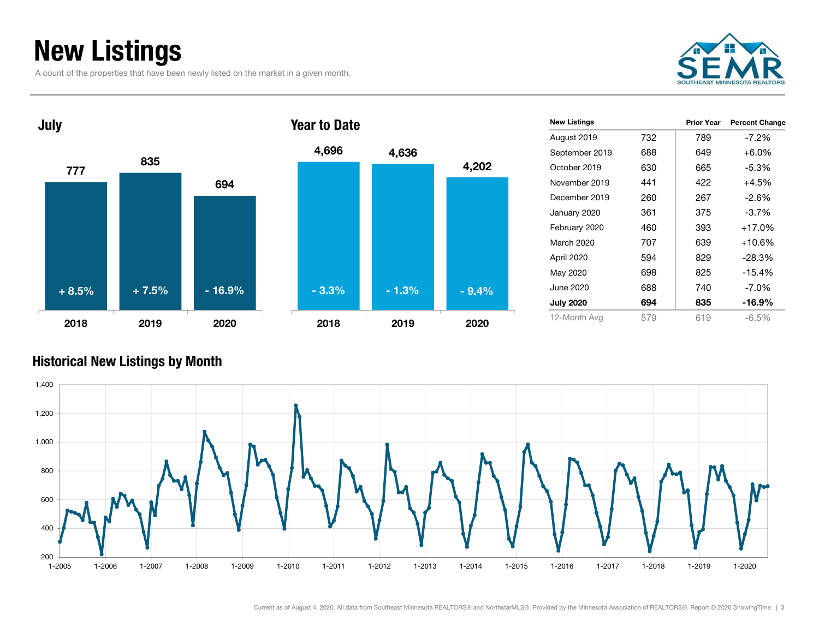### New Listings

A count of the properties that have been newly listed on the market in a given month.





| Year to Date |         |         |
|--------------|---------|---------|
| 4,696        | 4,636   |         |
|              |         | 4,202   |
|              |         |         |
|              |         |         |
|              |         |         |
|              |         |         |
| $-3.3%$      | $-1.3%$ | $-9.4%$ |
| 2018         | 2019    | 2020    |

| <b>New Listings</b> |     | <b>Prior Year</b> | <b>Percent Change</b> |
|---------------------|-----|-------------------|-----------------------|
| August 2019         | 732 | 789               | -7.2%                 |
| September 2019      | 688 | 649               | $+6.0\%$              |
| October 2019        | 630 | 665               | $-5.3\%$              |
| November 2019       | 441 | 422               | $+4.5%$               |
| December 2019       | 260 | 267               | $-2.6%$               |
| January 2020        | 361 | 375               | $-3.7\%$              |
| February 2020       | 460 | 393               | $+17.0%$              |
| March 2020          | 707 | 639               | $+10.6%$              |
| April 2020          | 594 | 829               | $-28.3%$              |
| May 2020            | 698 | 825               | $-15.4%$              |
| June 2020.          | 688 | 740               | $-7.0\%$              |
| <b>July 2020</b>    | 694 | 835               | -16.9%                |
| 12-Month Avg        | 579 | 619               | $-6.5\%$              |

#### Historical New Listings by Month

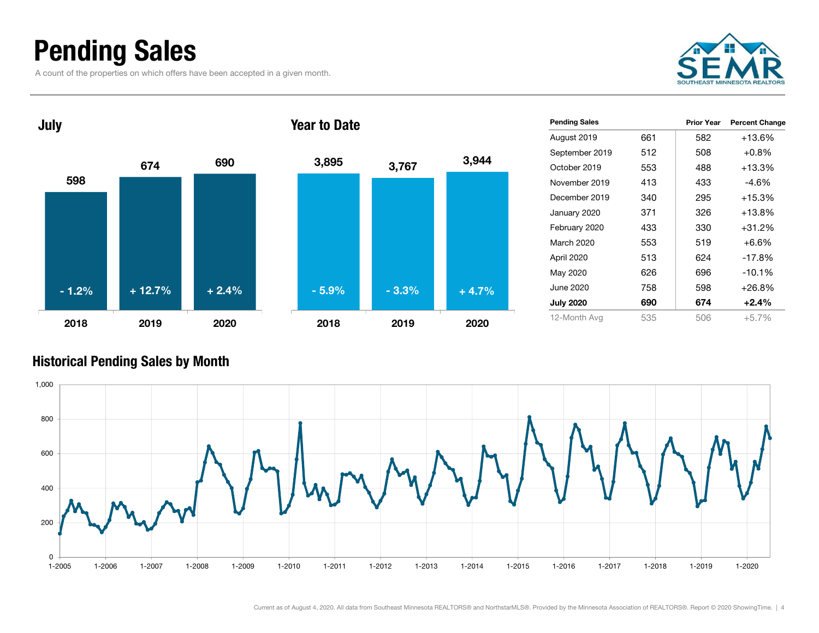### Pending Sales

A count of the properties on which offers have been accepted in a given month.





| <b>Pending Sales</b> |     | <b>Prior Year</b> | <b>Percent Change</b> |
|----------------------|-----|-------------------|-----------------------|
| August 2019          | 661 | 582               | +13.6%                |
| September 2019       | 512 | 508               | $+0.8\%$              |
| October 2019         | 553 | 488               | +13.3%                |
| November 2019        | 413 | 433               | -4.6%                 |
| December 2019        | 340 | 295               | $+15.3%$              |
| January 2020         | 371 | 326               | +13.8%                |
| February 2020        | 433 | 330               | +31.2%                |
| March 2020           | 553 | 519               | $+6.6%$               |
| April 2020           | 513 | 624               | $-17.8%$              |
| May 2020             | 626 | 696               | $-10.1%$              |
| June 2020            | 758 | 598               | $+26.8%$              |
| <b>July 2020</b>     | 690 | 674               | $+2.4\%$              |
| 12-Month Avg         | 535 | 506               | $+5.7%$               |

#### Historical Pending Sales by Month

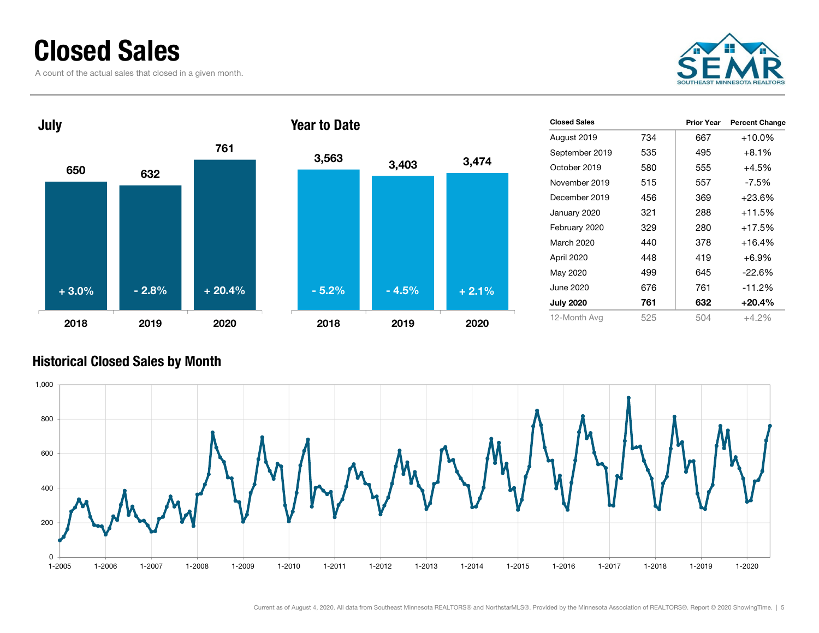### Closed Sales

A count of the actual sales that closed in a given month.





| <b>Closed Sales</b> |     | <b>Prior Year</b> | <b>Percent Change</b> |
|---------------------|-----|-------------------|-----------------------|
| August 2019         | 734 | 667               | $+10.0\%$             |
| September 2019      | 535 | 495               | $+8.1\%$              |
| October 2019        | 580 | 555               | $+4.5%$               |
| November 2019       | 515 | 557               | -7.5%                 |
| December 2019       | 456 | 369               | $+23.6%$              |
| January 2020        | 321 | 288               | $+11.5%$              |
| February 2020       | 329 | 280               | $+17.5%$              |
| March 2020          | 440 | 378               | $+16.4%$              |
| April 2020          | 448 | 419               | $+6.9%$               |
| May 2020            | 499 | 645               | $-22.6%$              |
| June 2020           | 676 | 761               | $-11.2%$              |
| <b>July 2020</b>    | 761 | 632               | $+20.4%$              |
| 12-Month Avg        | 525 | 504               | $+4.2%$               |

#### Historical Closed Sales by Month

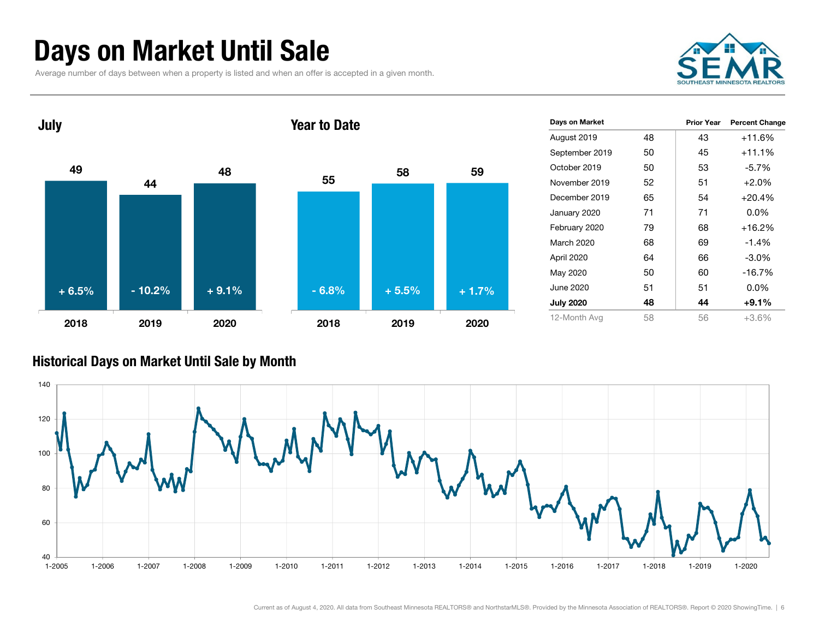### Days on Market Until Sale

Average number of days between when a property is listed and when an offer is accepted in a given month.





| Days on Market   |    | <b>Prior Year</b> | <b>Percent Change</b> |
|------------------|----|-------------------|-----------------------|
| August 2019      | 48 | 43                | $+11.6%$              |
| September 2019   | 50 | 45                | $+11.1%$              |
| October 2019     | 50 | 53                | $-5.7\%$              |
| November 2019    | 52 | 51                | $+2.0%$               |
| December 2019    | 65 | 54                | $+20.4%$              |
| January 2020     | 71 | 71                | $0.0\%$               |
| February 2020    | 79 | 68                | $+16.2%$              |
| March 2020       | 68 | 69                | $-1.4%$               |
| April 2020       | 64 | 66                | $-3.0\%$              |
| May 2020         | 50 | 60                | $-16.7%$              |
| June 2020        | 51 | 51                | $0.0\%$               |
| <b>July 2020</b> | 48 | 44                | $+9.1%$               |
| 12-Month Avg     | 58 | 56                | $+3.6\%$              |

#### Historical Days on Market Until Sale by Month

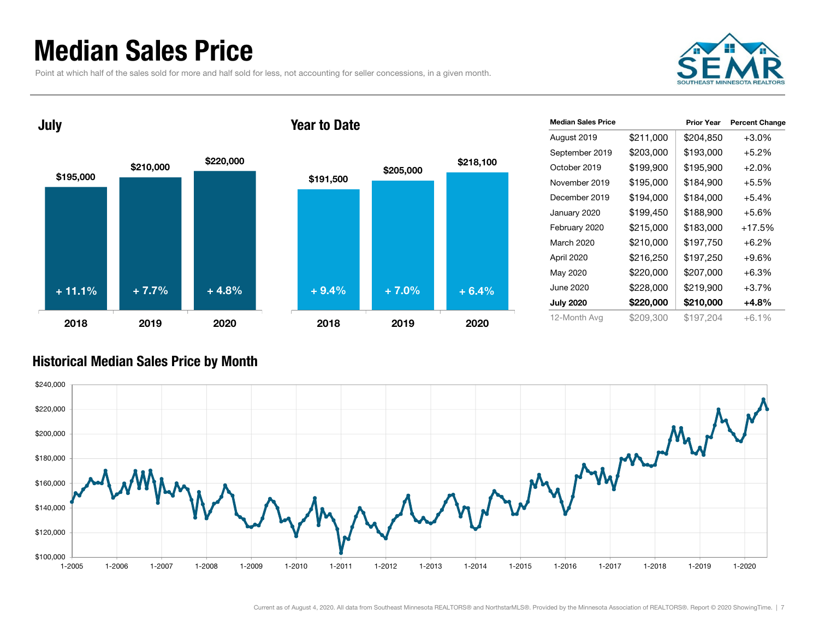### Median Sales Price

Point at which half of the sales sold for more and half sold for less, not accounting for seller concessions, in a given month.





| <b>Median Sales Price</b> |           | <b>Prior Year</b> | <b>Percent Change</b> |
|---------------------------|-----------|-------------------|-----------------------|
| August 2019               | \$211,000 | \$204,850         | $+3.0%$               |
| September 2019            | \$203,000 | \$193,000         | $+5.2\%$              |
| October 2019              | \$199,900 | \$195,900         | $+2.0\%$              |
| November 2019             | \$195,000 | \$184,900         | $+5.5%$               |
| December 2019             | \$194,000 | \$184,000         | $+5.4\%$              |
| January 2020              | \$199,450 | \$188,900         | $+5.6%$               |
| February 2020             | \$215,000 | \$183,000         | $+17.5%$              |
| March 2020                | \$210,000 | \$197,750         | $+6.2\%$              |
| April 2020                | \$216,250 | \$197,250         | $+9.6%$               |
| May 2020                  | \$220,000 | \$207,000         | $+6.3%$               |
| June 2020                 | \$228,000 | \$219,900         | $+3.7%$               |
| <b>July 2020</b>          | \$220,000 | \$210,000         | +4.8%                 |
| 12-Month Avg              | \$209,300 | \$197.204         | $+6.1\%$              |

#### Historical Median Sales Price by Month

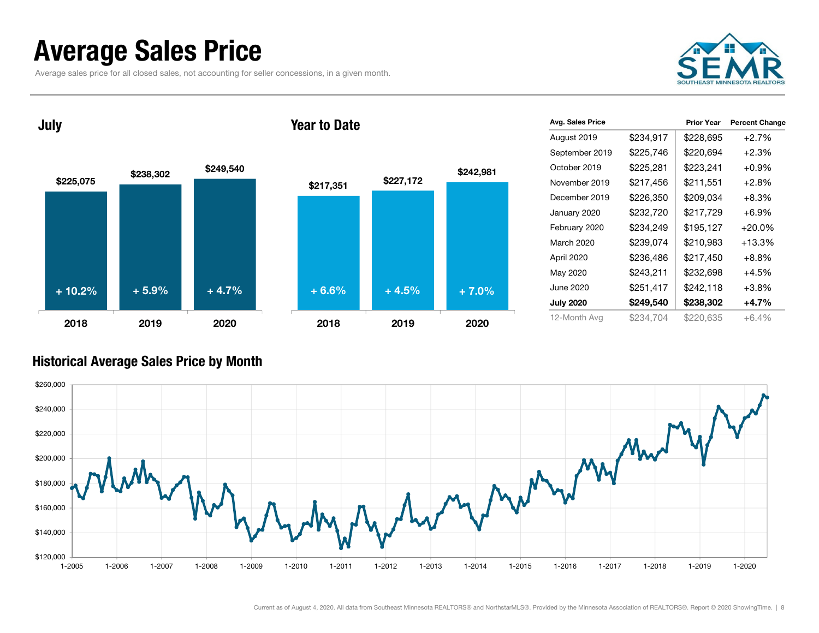### Average Sales Price

Average sales price for all closed sales, not accounting for seller concessions, in a given month.



July





| Avg. Sales Price |           | <b>Prior Year</b> | <b>Percent Change</b> |
|------------------|-----------|-------------------|-----------------------|
| August 2019      | \$234,917 | \$228,695         | $+2.7%$               |
| September 2019   | \$225,746 | \$220,694         | $+2.3%$               |
| October 2019     | \$225,281 | \$223,241         | $+0.9%$               |
| November 2019    | \$217,456 | \$211,551         | $+2.8%$               |
| December 2019    | \$226,350 | \$209,034         | $+8.3%$               |
| January 2020     | \$232,720 | \$217,729         | $+6.9%$               |
| February 2020    | \$234,249 | \$195,127         | $+20.0%$              |
| March 2020       | \$239,074 | \$210,983         | $+13.3%$              |
| April 2020       | \$236,486 | \$217,450         | $+8.8%$               |
| May 2020         | \$243,211 | \$232,698         | +4.5%                 |
| June 2020        | \$251,417 | \$242,118         | $+3.8%$               |
| <b>July 2020</b> | \$249,540 | \$238,302         | $+4.7%$               |
| 12-Month Avg     | \$234,704 | \$220,635         | $+6.4\%$              |

#### Historical Average Sales Price by Month

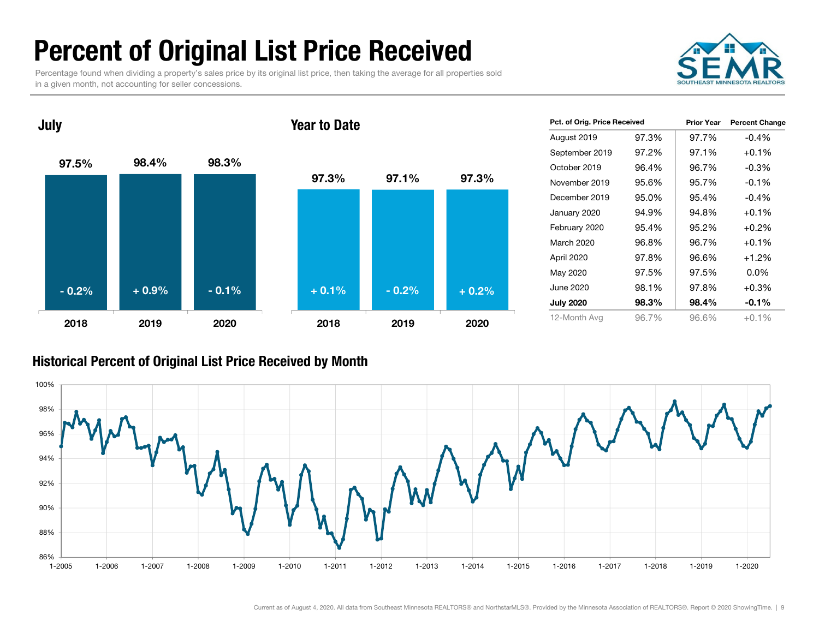### Percent of Original List Price Received

Percentage found when dividing a property's sales price by its original list price, then taking the average for all properties sold in a given month, not accounting for seller concessions.



97.5% 98.4% 98.3% 2018 2019 2020July 97.3% 97.1% 97.3% 2018 2019 2020Year to Date- 0.2% $\%$  + 0.9% - 0.1% + 0.1% - 0.2% + 0.2%

| Pct. of Orig. Price Received |       | <b>Prior Year</b> | <b>Percent Change</b> |
|------------------------------|-------|-------------------|-----------------------|
| August 2019                  | 97.3% | 97.7%             | $-0.4%$               |
| September 2019               | 97.2% | 97.1%             | $+0.1%$               |
| October 2019                 | 96.4% | 96.7%             | $-0.3\%$              |
| November 2019                | 95.6% | 95.7%             | $-0.1%$               |
| December 2019                | 95.0% | 95.4%             | $-0.4%$               |
| January 2020                 | 94.9% | 94.8%             | $+0.1%$               |
| February 2020                | 95.4% | 95.2%             | $+0.2\%$              |
| March 2020                   | 96.8% | 96.7%             | $+0.1%$               |
| April 2020                   | 97.8% | 96.6%             | $+1.2%$               |
| May 2020                     | 97.5% | 97.5%             | $0.0\%$               |
| June 2020                    | 98.1% | 97.8%             | $+0.3%$               |
| <b>July 2020</b>             | 98.3% | 98.4%             | $-0.1%$               |
| 12-Month Avg                 | 96.7% | 96.6%             | $+0.1\%$              |

#### Historical Percent of Original List Price Received by Month

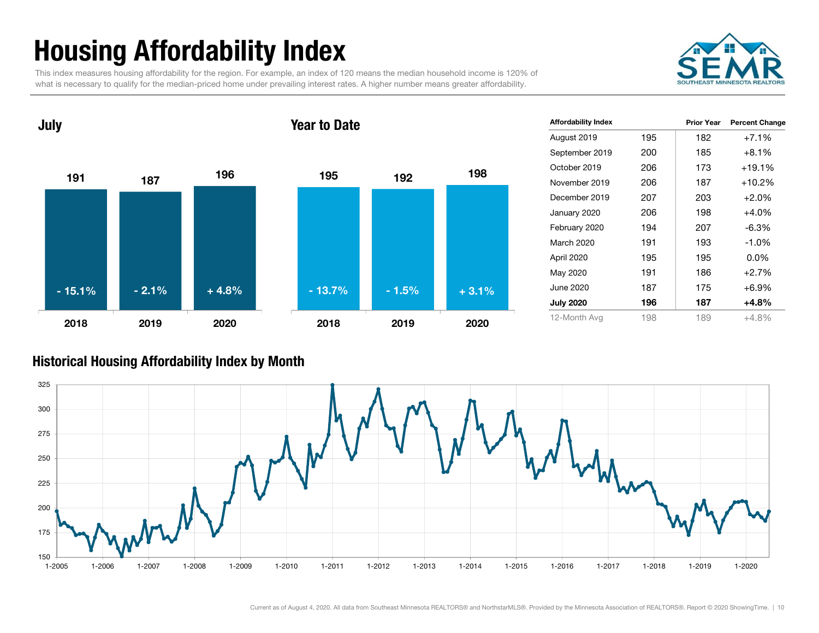## Housing Affordability Index

This index measures housing affordability for the region. For example, an index of 120 means the median household income is 120% of what is necessary to qualify for the median-priced home under prevailing interest rates. A higher number means greater affordability.





| <b>Affordability Index</b> |     | <b>Prior Year</b> | <b>Percent Change</b> |
|----------------------------|-----|-------------------|-----------------------|
| August 2019                | 195 | 182               | $+7.1%$               |
| September 2019             | 200 | 185               | $+8.1%$               |
| October 2019               | 206 | 173               | $+19.1%$              |
| November 2019              | 206 | 187               | $+10.2%$              |
| December 2019              | 207 | 203               | $+2.0%$               |
| January 2020               | 206 | 198               | +4.0%                 |
| February 2020              | 194 | 207               | $-6.3%$               |
| March 2020                 | 191 | 193               | $-1.0%$               |
| April 2020                 | 195 | 195               | $0.0\%$               |
| May 2020                   | 191 | 186               | $+2.7%$               |
| June 2020                  | 187 | 175               | $+6.9%$               |
| <b>July 2020</b>           | 196 | 187               | +4.8%                 |
| 12-Month Avg               | 198 | 189               | $+4.8%$               |

#### Historical Housing Affordability Index by Mont h

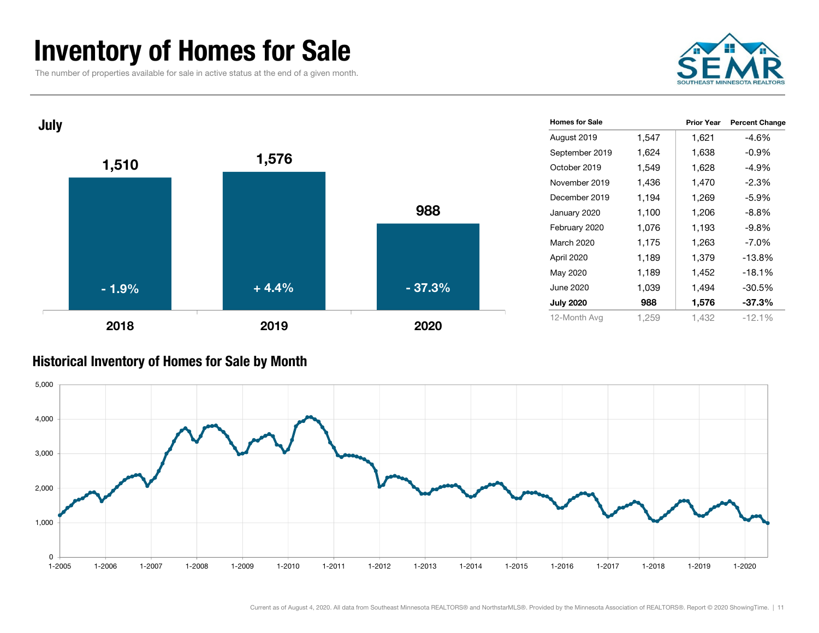### Inventory of Homes for Sale

The number of properties available for sale in active status at the end of a given month.





#### Historical Inventory of Homes for Sale by Month

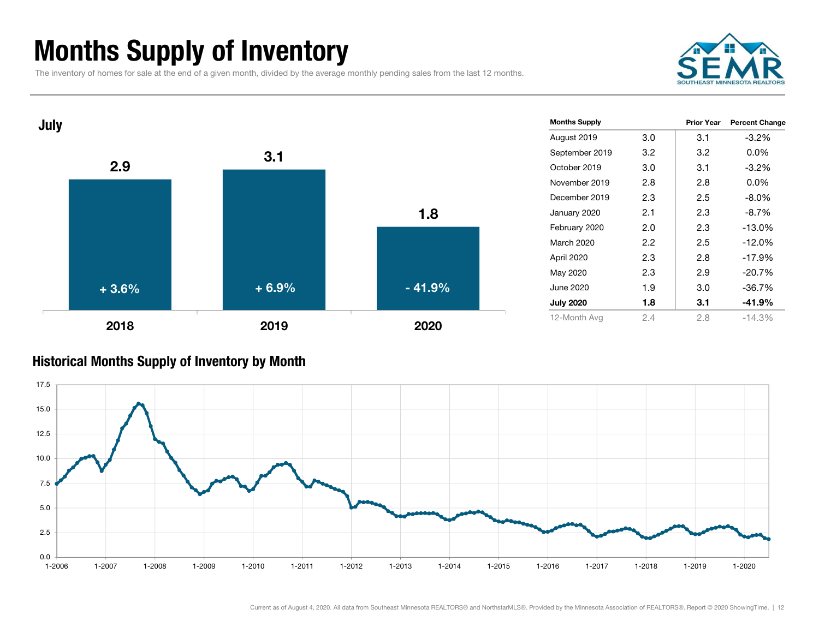### Months Supply of Inventory

The inventory of homes for sale at the end of a given month, divided by the average monthly pending sales from the last 12 months.





#### Historical Months Supply of Inventory by Month